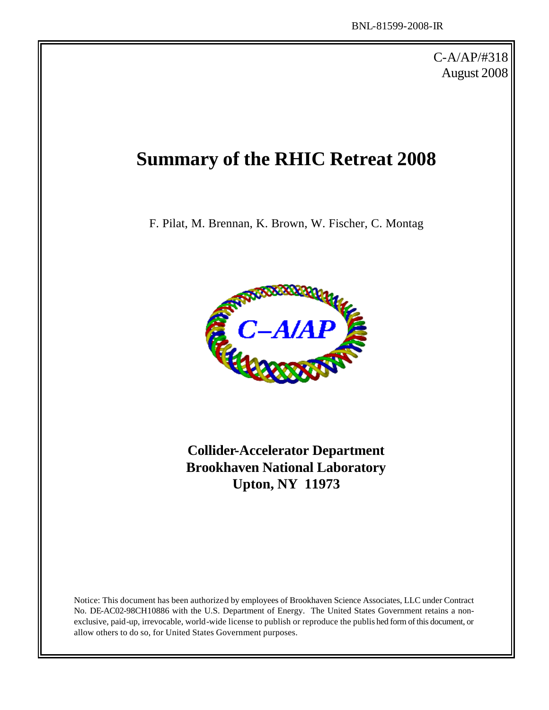C-A/AP/#318 August 2008

# **Summary of the RHIC Retreat 2008**

F. Pilat, M. Brennan, K. Brown, W. Fischer, C. Montag



**Collider-Accelerator Department Brookhaven National Laboratory Upton, NY 11973**

Notice: This document has been authorized by employees of Brookhaven Science Associates, LLC under Contract No. DE-AC02-98CH10886 with the U.S. Department of Energy. The United States Government retains a nonexclusive, paid-up, irrevocable, world-wide license to publish or reproduce the publis hed form of this document, or allow others to do so, for United States Government purposes.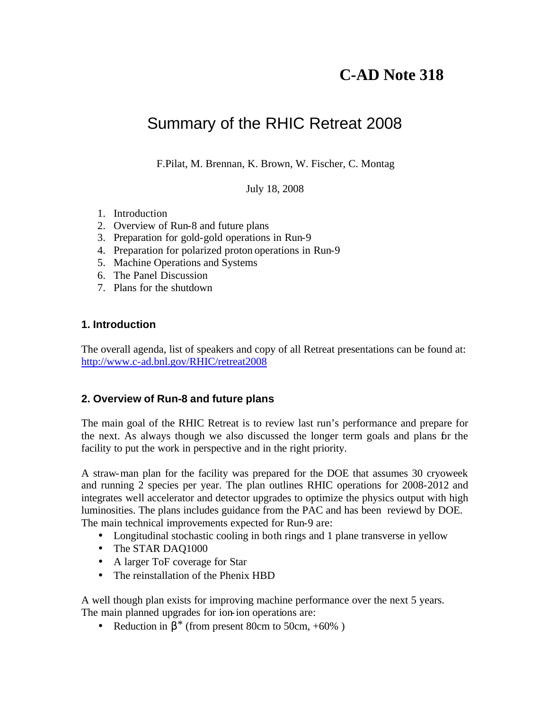# **C-AD Note 318**

# Summary of the RHIC Retreat 2008

F.Pilat, M. Brennan, K. Brown, W. Fischer, C. Montag

July 18, 2008

- 1. Introduction
- 2. Overview of Run-8 and future plans
- 3. Preparation for gold-gold operations in Run-9
- 4. Preparation for polarized proton operations in Run-9
- 5. Machine Operations and Systems
- 6. The Panel Discussion
- 7. Plans for the shutdown

#### **1. Introduction**

The overall agenda, list of speakers and copy of all Retreat presentations can be found at: http://www.c-ad.bnl.gov/RHIC/retreat2008

#### **2. Overview of Run-8 and future plans**

The main goal of the RHIC Retreat is to review last run's performance and prepare for the next. As always though we also discussed the longer term goals and plans for the facility to put the work in perspective and in the right priority.

A straw-man plan for the facility was prepared for the DOE that assumes 30 cryoweek and running 2 species per year. The plan outlines RHIC operations for 2008-2012 and integrates well accelerator and detector upgrades to optimize the physics output with high luminosities. The plans includes guidance from the PAC and has been reviewd by DOE. The main technical improvements expected for Run-9 are:

- Longitudinal stochastic cooling in both rings and 1 plane transverse in yellow
- The STAR DAQ1000
- A larger ToF coverage for Star
- The reinstallation of the Phenix HBD

A well though plan exists for improving machine performance over the next 5 years. The main planned upgrades for ion-ion operations are:

• Reduction in  $\beta^*$  (from present 80cm to 50cm, +60%)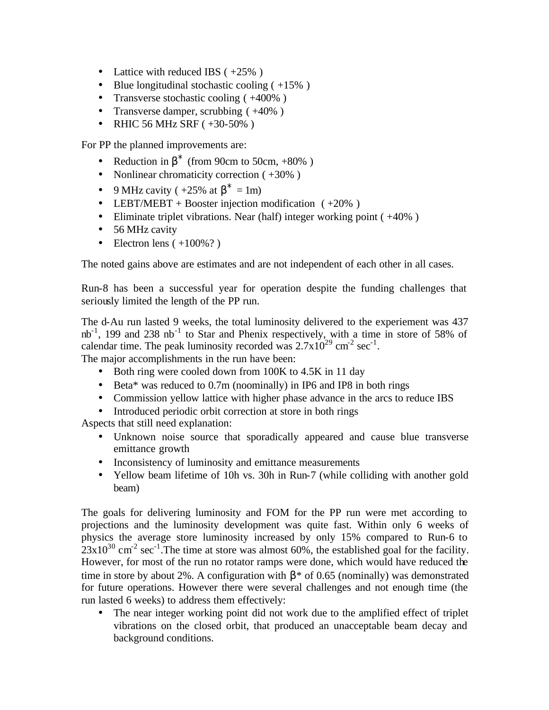- Lattice with reduced IBS  $(+25\%)$
- Blue longitudinal stochastic cooling  $(+15\%)$
- Transverse stochastic cooling (+400%)
- Transverse damper, scrubbing (+40%)
- RHIC 56 MHz SRF  $(+30-50\%)$

For PP the planned improvements are:

- Reduction in  $\beta^*$  (from 90cm to 50cm, +80%)
- Nonlinear chromaticity correction  $(+30\%)$
- 9 MHz cavity (  $+25\%$  at  $\beta^* = 1$ m)
- LEBT/MEBT + Booster injection modification  $(+20\%)$
- Eliminate triplet vibrations. Near (half) integer working point (+40%)
- 56 MHz cavity
- Electron lens  $(+100\%)$ ?

The noted gains above are estimates and are not independent of each other in all cases.

Run-8 has been a successful year for operation despite the funding challenges that seriously limited the length of the PP run.

The d-Au run lasted 9 weeks, the total luminosity delivered to the experiement was 437 nb<sup>-1</sup>, 199 and 238 nb<sup>-1</sup> to Star and Phenix respectively, with a time in store of 58% of calendar time. The peak luminosity recorded was  $2.7 \times 10^{29}$  cm<sup>-2</sup> sec<sup>-1</sup>.

The major accomplishments in the run have been:

- Both ring were cooled down from 100K to 4.5K in 11 day
- Beta\* was reduced to 0.7m (noominally) in IP6 and IP8 in both rings
- Commission yellow lattice with higher phase advance in the arcs to reduce IBS
- Introduced periodic orbit correction at store in both rings

Aspects that still need explanation:

- Unknown noise source that sporadically appeared and cause blue transverse emittance growth
- Inconsistency of luminosity and emittance measurements
- Yellow beam lifetime of 10h vs. 30h in Run-7 (while colliding with another gold beam)

The goals for delivering luminosity and FOM for the PP run were met according to projections and the luminosity development was quite fast. Within only 6 weeks of physics the average store luminosity increased by only 15% compared to Run-6 to  $23x10^{30}$  cm<sup>-2</sup> sec<sup>-1</sup>. The time at store was almost 60%, the established goal for the facility. However, for most of the run no rotator ramps were done, which would have reduced the time in store by about 2%. A configuration with  $\beta^*$  of 0.65 (nominally) was demonstrated for future operations. However there were several challenges and not enough time (the run lasted 6 weeks) to address them effectively:

The near integer working point did not work due to the amplified effect of triplet vibrations on the closed orbit, that produced an unacceptable beam decay and background conditions.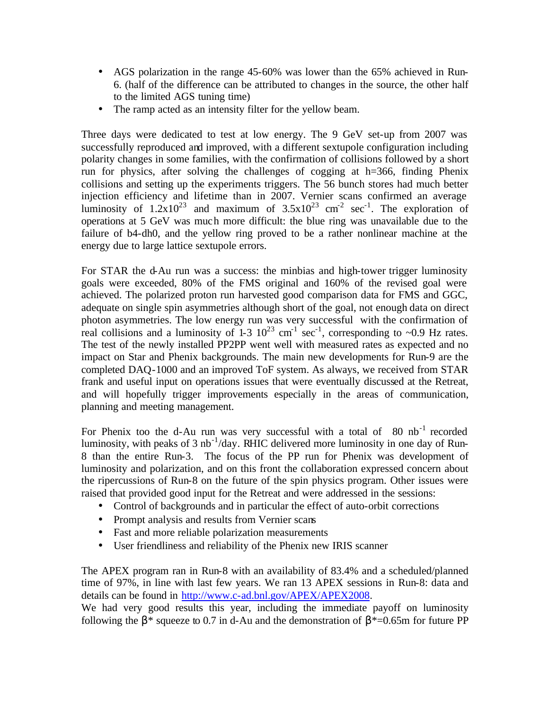- AGS polarization in the range 45-60% was lower than the 65% achieved in Run-6. (half of the difference can be attributed to changes in the source, the other half to the limited AGS tuning time)
- The ramp acted as an intensity filter for the yellow beam.

Three days were dedicated to test at low energy. The 9 GeV set-up from 2007 was successfully reproduced and improved, with a different sextupole configuration including polarity changes in some families, with the confirmation of collisions followed by a short run for physics, after solving the challenges of cogging at h=366, finding Phenix collisions and setting up the experiments triggers. The 56 bunch stores had much better injection efficiency and lifetime than in 2007. Vernier scans confirmed an average luminosity of  $1.2 \times 10^{23}$  and maximum of  $3.5 \times 10^{23}$  cm<sup>-2</sup> sec<sup>-1</sup>. The exploration of operations at 5 GeV was much more difficult: the blue ring was unavailable due to the failure of b4-dh0, and the yellow ring proved to be a rather nonlinear machine at the energy due to large lattice sextupole errors.

For STAR the d-Au run was a success: the minbias and high-tower trigger luminosity goals were exceeded, 80% of the FMS original and 160% of the revised goal were achieved. The polarized proton run harvested good comparison data for FMS and GGC, adequate on single spin asymmetries although short of the goal, not enough data on direct photon asymmetries. The low energy run was very successful with the confirmation of real collisions and a luminosity of 1-3  $10^{23}$  cm<sup>-1</sup> sec<sup>-1</sup>, corresponding to ~0.9 Hz rates. The test of the newly installed PP2PP went well with measured rates as expected and no impact on Star and Phenix backgrounds. The main new developments for Run-9 are the completed DAQ-1000 and an improved ToF system. As always, we received from STAR frank and useful input on operations issues that were eventually discussed at the Retreat, and will hopefully trigger improvements especially in the areas of communication, planning and meeting management.

For Phenix too the d-Au run was very successful with a total of  $80 \text{ nb}^{-1}$  recorded luminosity, with peaks of 3 nb<sup>-1</sup>/day. RHIC delivered more luminosity in one day of Run-8 than the entire Run-3. The focus of the PP run for Phenix was development of luminosity and polarization, and on this front the collaboration expressed concern about the ripercussions of Run-8 on the future of the spin physics program. Other issues were raised that provided good input for the Retreat and were addressed in the sessions:

- Control of backgrounds and in particular the effect of auto-orbit corrections
- Prompt analysis and results from Vernier scans
- Fast and more reliable polarization measurements
- User friendliness and reliability of the Phenix new IRIS scanner

The APEX program ran in Run-8 with an availability of 83.4% and a scheduled/planned time of 97%, in line with last few years. We ran 13 APEX sessions in Run-8: data and details can be found in http://www.c-ad.bnl.gov/APEX/APEX2008.

We had very good results this year, including the immediate payoff on luminosity following the  $\beta^*$  squeeze to 0.7 in d-Au and the demonstration of  $\beta^*$ =0.65m for future PP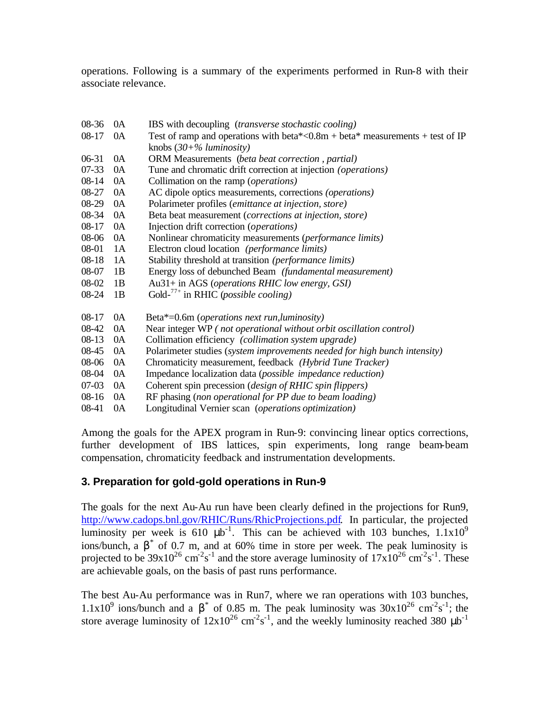operations. Following is a summary of the experiments performed in Run-8 with their associate relevance.

| $08-36$   | 0A | IBS with decoupling <i>(transverse stochastic cooling)</i>                       |  |  |  |  |  |  |
|-----------|----|----------------------------------------------------------------------------------|--|--|--|--|--|--|
| 08-17     | 0A | Test of ramp and operations with beta*< $0.8m + beta*$ measurements + test of IP |  |  |  |  |  |  |
|           |    | knobs $(30+%$ luminosity)                                                        |  |  |  |  |  |  |
| $06-31$   | 0A | <b>ORM</b> Measurements (beta beat correction, partial)                          |  |  |  |  |  |  |
| $07 - 33$ | 0A | Tune and chromatic drift correction at injection ( <i>operations</i> )           |  |  |  |  |  |  |
| $08 - 14$ | 0A | Collimation on the ramp ( <i>operations</i> )                                    |  |  |  |  |  |  |
| 08-27     | 0A | AC dipole optics measurements, corrections ( <i>operations</i> )                 |  |  |  |  |  |  |
| $08-29$   | 0A | Polarimeter profiles (emittance at injection, store)                             |  |  |  |  |  |  |
| 08-34     | 0A | Beta beat measurement ( <i>corrections at injection</i> , <i>store</i> )         |  |  |  |  |  |  |
| $08 - 17$ | 0A | Injection drift correction (operations)                                          |  |  |  |  |  |  |
| 08-06     | 0A | Nonlinear chromaticity measurements (performance limits)                         |  |  |  |  |  |  |
| 08-01     | 1A | Electron cloud location (performance limits)                                     |  |  |  |  |  |  |
| $08 - 18$ | 1A | Stability threshold at transition (performance limits)                           |  |  |  |  |  |  |
| 08-07     | 1B | Energy loss of debunched Beam (fundamental measurement)                          |  |  |  |  |  |  |
| 08-02     | 1B | Au31+ in AGS (operations RHIC low energy, GSI)                                   |  |  |  |  |  |  |
| 08-24     | 1B | Gold- $^{77+}$ in RHIC (possible cooling)                                        |  |  |  |  |  |  |
| $08-17$   | 0A | Beta*=0.6m ( <i>operations next run, luminosity</i> )                            |  |  |  |  |  |  |
| 08-42     | 0A | Near integer WP (not operational without orbit oscillation control)              |  |  |  |  |  |  |
| $08-13$   | 0A | Collimation efficiency (collimation system upgrade)                              |  |  |  |  |  |  |
| 08-45     | 0A | Polarimeter studies (system improvements needed for high bunch intensity)        |  |  |  |  |  |  |
| 08-06     | 0A | Chromaticity measurement, feedback (Hybrid Tune Tracker)                         |  |  |  |  |  |  |
| 08-04     | 0A | Impedance localization data (possible impedance reduction)                       |  |  |  |  |  |  |
| $07-03$   | 0A | Coherent spin precession (design of RHIC spin flippers)                          |  |  |  |  |  |  |
| $08-16$   | 0A | RF phasing (non operational for PP due to beam loading)                          |  |  |  |  |  |  |
| 08-41     | 0A | Longitudinal Vernier scan (operations optimization)                              |  |  |  |  |  |  |

Among the goals for the APEX program in Run-9: convincing linear optics corrections, further development of IBS lattices, spin experiments, long range beam-beam compensation, chromaticity feedback and instrumentation developments.

#### **3. Preparation for gold-gold operations in Run-9**

The goals for the next Au-Au run have been clearly defined in the projections for Run9, http://www.cadops.bnl.gov/RHIC/Runs/RhicProjections.pdf. In particular, the projected luminosity per week is 610  $\mu b^{-1}$ . This can be achieved with 103 bunches,  $1.1x10^9$ ions/bunch, a  $\beta^*$  of 0.7 m, and at 60% time in store per week. The peak luminosity is projected to be  $39x10^{26}$  cm<sup>-2</sup>s<sup>-1</sup> and the store average luminosity of  $17x10^{26}$  cm<sup>-2</sup>s<sup>-1</sup>. These are achievable goals, on the basis of past runs performance.

The best Au-Au performance was in Run7, where we ran operations with 103 bunches, 1.1x10<sup>9</sup> ions/bunch and a β<sup>\*</sup> of 0.85 m. The peak luminosity was  $30x10^{26}$  cm<sup>-2</sup>s<sup>-1</sup>; the store average luminosity of  $12x10^{26}$  cm<sup>-2</sup>s<sup>-1</sup>, and the weekly luminosity reached 380  $\mu b^{-1}$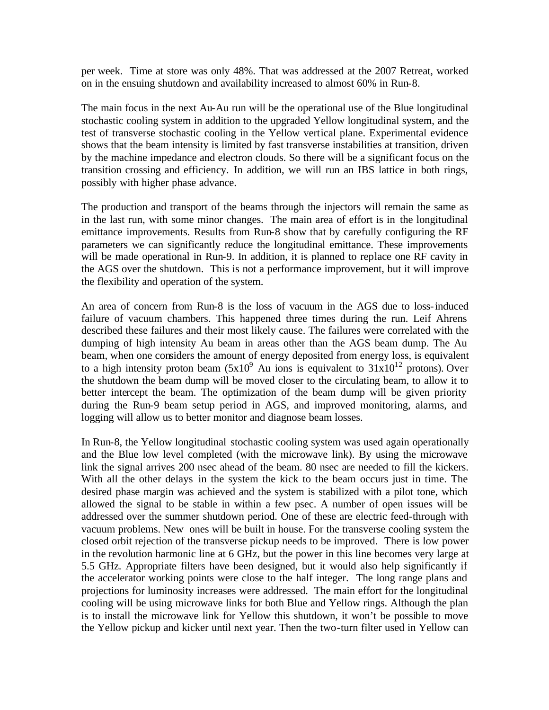per week. Time at store was only 48%. That was addressed at the 2007 Retreat, worked on in the ensuing shutdown and availability increased to almost 60% in Run-8.

The main focus in the next Au-Au run will be the operational use of the Blue longitudinal stochastic cooling system in addition to the upgraded Yellow longitudinal system, and the test of transverse stochastic cooling in the Yellow vertical plane. Experimental evidence shows that the beam intensity is limited by fast transverse instabilities at transition, driven by the machine impedance and electron clouds. So there will be a significant focus on the transition crossing and efficiency. In addition, we will run an IBS lattice in both rings, possibly with higher phase advance.

The production and transport of the beams through the injectors will remain the same as in the last run, with some minor changes. The main area of effort is in the longitudinal emittance improvements. Results from Run-8 show that by carefully configuring the RF parameters we can significantly reduce the longitudinal emittance. These improvements will be made operational in Run-9. In addition, it is planned to replace one RF cavity in the AGS over the shutdown. This is not a performance improvement, but it will improve the flexibility and operation of the system.

An area of concern from Run-8 is the loss of vacuum in the AGS due to loss-induced failure of vacuum chambers. This happened three times during the run. Leif Ahrens described these failures and their most likely cause. The failures were correlated with the dumping of high intensity Au beam in areas other than the AGS beam dump. The Au beam, when one considers the amount of energy deposited from energy loss, is equivalent to a high intensity proton beam  $(5x10^9)$  Au ions is equivalent to  $31x10^{12}$  protons). Over the shutdown the beam dump will be moved closer to the circulating beam, to allow it to better intercept the beam. The optimization of the beam dump will be given priority during the Run-9 beam setup period in AGS, and improved monitoring, alarms, and logging will allow us to better monitor and diagnose beam losses.

In Run-8, the Yellow longitudinal stochastic cooling system was used again operationally and the Blue low level completed (with the microwave link). By using the microwave link the signal arrives 200 nsec ahead of the beam. 80 nsec are needed to fill the kickers. With all the other delays in the system the kick to the beam occurs just in time. The desired phase margin was achieved and the system is stabilized with a pilot tone, which allowed the signal to be stable in within a few psec. A number of open issues will be addressed over the summer shutdown period. One of these are electric feed-through with vacuum problems. New ones will be built in house. For the transverse cooling system the closed orbit rejection of the transverse pickup needs to be improved. There is low power in the revolution harmonic line at 6 GHz, but the power in this line becomes very large at 5.5 GHz. Appropriate filters have been designed, but it would also help significantly if the accelerator working points were close to the half integer. The long range plans and projections for luminosity increases were addressed. The main effort for the longitudinal cooling will be using microwave links for both Blue and Yellow rings. Although the plan is to install the microwave link for Yellow this shutdown, it won't be possible to move the Yellow pickup and kicker until next year. Then the two-turn filter used in Yellow can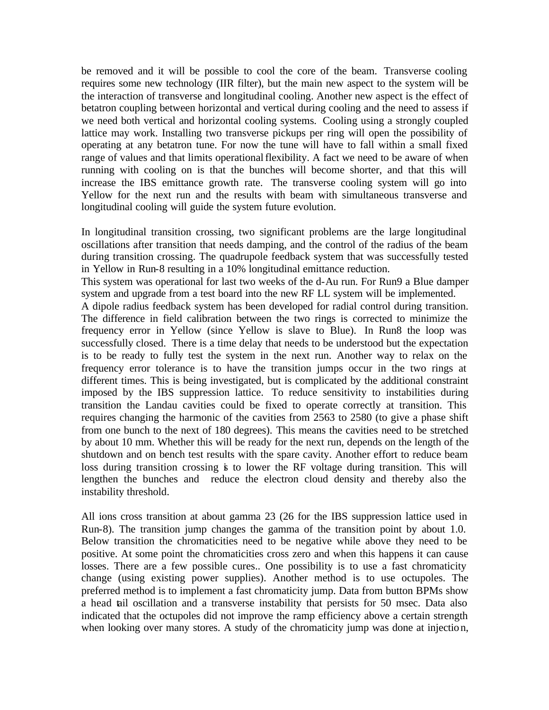be removed and it will be possible to cool the core of the beam. Transverse cooling requires some new technology (IIR filter), but the main new aspect to the system will be the interaction of transverse and longitudinal cooling. Another new aspect is the effect of betatron coupling between horizontal and vertical during cooling and the need to assess if we need both vertical and horizontal cooling systems. Cooling using a strongly coupled lattice may work. Installing two transverse pickups per ring will open the possibility of operating at any betatron tune. For now the tune will have to fall within a small fixed range of values and that limits operational flexibility. A fact we need to be aware of when running with cooling on is that the bunches will become shorter, and that this will increase the IBS emittance growth rate. The transverse cooling system will go into Yellow for the next run and the results with beam with simultaneous transverse and longitudinal cooling will guide the system future evolution.

In longitudinal transition crossing, two significant problems are the large longitudinal oscillations after transition that needs damping, and the control of the radius of the beam during transition crossing. The quadrupole feedback system that was successfully tested in Yellow in Run-8 resulting in a 10% longitudinal emittance reduction.

This system was operational for last two weeks of the d-Au run. For Run9 a Blue damper system and upgrade from a test board into the new RF LL system will be implemented.

A dipole radius feedback system has been developed for radial control during transition. The difference in field calibration between the two rings is corrected to minimize the frequency error in Yellow (since Yellow is slave to Blue). In Run8 the loop was successfully closed. There is a time delay that needs to be understood but the expectation is to be ready to fully test the system in the next run. Another way to relax on the frequency error tolerance is to have the transition jumps occur in the two rings at different times. This is being investigated, but is complicated by the additional constraint imposed by the IBS suppression lattice. To reduce sensitivity to instabilities during transition the Landau cavities could be fixed to operate correctly at transition. This requires changing the harmonic of the cavities from 2563 to 2580 (to give a phase shift from one bunch to the next of 180 degrees). This means the cavities need to be stretched by about 10 mm. Whether this will be ready for the next run, depends on the length of the shutdown and on bench test results with the spare cavity. Another effort to reduce beam loss during transition crossing is to lower the RF voltage during transition. This will lengthen the bunches and reduce the electron cloud density and thereby also the instability threshold.

All ions cross transition at about gamma 23 (26 for the IBS suppression lattice used in Run-8). The transition jump changes the gamma of the transition point by about 1.0. Below transition the chromaticities need to be negative while above they need to be positive. At some point the chromaticities cross zero and when this happens it can cause losses. There are a few possible cures.. One possibility is to use a fast chromaticity change (using existing power supplies). Another method is to use octupoles. The preferred method is to implement a fast chromaticity jump. Data from button BPMs show a head tail oscillation and a transverse instability that persists for 50 msec. Data also indicated that the octupoles did not improve the ramp efficiency above a certain strength when looking over many stores. A study of the chromaticity jump was done at injection,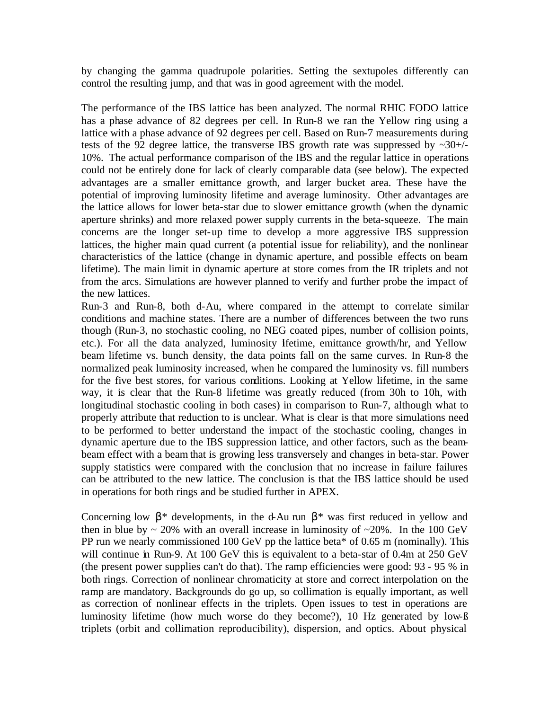by changing the gamma quadrupole polarities. Setting the sextupoles differently can control the resulting jump, and that was in good agreement with the model.

The performance of the IBS lattice has been analyzed. The normal RHIC FODO lattice has a phase advance of 82 degrees per cell. In Run-8 we ran the Yellow ring using a lattice with a phase advance of 92 degrees per cell. Based on Run-7 measurements during tests of the 92 degree lattice, the transverse IBS growth rate was suppressed by  $\sim 30^{+/-}$ 10%. The actual performance comparison of the IBS and the regular lattice in operations could not be entirely done for lack of clearly comparable data (see below). The expected advantages are a smaller emittance growth, and larger bucket area. These have the potential of improving luminosity lifetime and average luminosity. Other advantages are the lattice allows for lower beta-star due to slower emittance growth (when the dynamic aperture shrinks) and more relaxed power supply currents in the beta-squeeze. The main concerns are the longer set-up time to develop a more aggressive IBS suppression lattices, the higher main quad current (a potential issue for reliability), and the nonlinear characteristics of the lattice (change in dynamic aperture, and possible effects on beam lifetime). The main limit in dynamic aperture at store comes from the IR triplets and not from the arcs. Simulations are however planned to verify and further probe the impact of the new lattices.

Run-3 and Run-8, both d-Au, where compared in the attempt to correlate similar conditions and machine states. There are a number of differences between the two runs though (Run-3, no stochastic cooling, no NEG coated pipes, number of collision points, etc.). For all the data analyzed, luminosity lifetime, emittance growth/hr, and Yellow beam lifetime vs. bunch density, the data points fall on the same curves. In Run-8 the normalized peak luminosity increased, when he compared the luminosity vs. fill numbers for the five best stores, for various conditions. Looking at Yellow lifetime, in the same way, it is clear that the Run-8 lifetime was greatly reduced (from 30h to 10h, with longitudinal stochastic cooling in both cases) in comparison to Run-7, although what to properly attribute that reduction to is unclear. What is clear is that more simulations need to be performed to better understand the impact of the stochastic cooling, changes in dynamic aperture due to the IBS suppression lattice, and other factors, such as the beambeam effect with a beam that is growing less transversely and changes in beta-star. Power supply statistics were compared with the conclusion that no increase in failure failures can be attributed to the new lattice. The conclusion is that the IBS lattice should be used in operations for both rings and be studied further in APEX.

Concerning low  $\beta^*$  developments, in the d-Au run  $\beta^*$  was first reduced in yellow and then in blue by  $\sim 20\%$  with an overall increase in luminosity of  $\sim 20\%$ . In the 100 GeV PP run we nearly commissioned 100 GeV pp the lattice beta\* of 0.65 m (nominally). This will continue in Run-9. At 100 GeV this is equivalent to a beta-star of 0.4m at 250 GeV (the present power supplies can't do that). The ramp efficiencies were good: 93 - 95 % in both rings. Correction of nonlinear chromaticity at store and correct interpolation on the ramp are mandatory. Backgrounds do go up, so collimation is equally important, as well as correction of nonlinear effects in the triplets. Open issues to test in operations are luminosity lifetime (how much worse do they become?), 10 Hz generated by low-ß triplets (orbit and collimation reproducibility), dispersion, and optics. About physical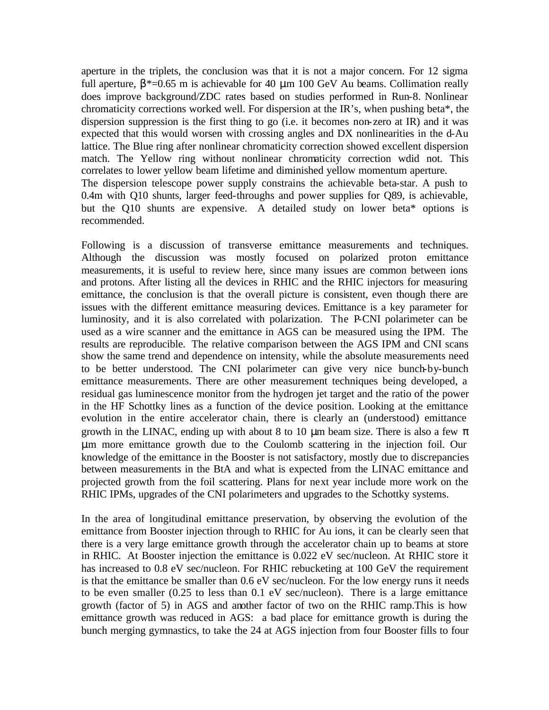aperture in the triplets, the conclusion was that it is not a major concern. For 12 sigma full aperture,  $\beta^*$ =0.65 m is achievable for 40 µm 100 GeV Au beams. Collimation really does improve background/ZDC rates based on studies performed in Run-8. Nonlinear chromaticity corrections worked well. For dispersion at the IR's, when pushing beta\*, the dispersion suppression is the first thing to go (i.e. it becomes non-zero at IR) and it was expected that this would worsen with crossing angles and DX nonlinearities in the d-Au lattice. The Blue ring after nonlinear chromaticity correction showed excellent dispersion match. The Yellow ring without nonlinear chromaticity correction wdid not. This correlates to lower yellow beam lifetime and diminished yellow momentum aperture. The dispersion telescope power supply constrains the achievable beta-star. A push to 0.4m with Q10 shunts, larger feed-throughs and power supplies for Q89, is achievable, but the Q10 shunts are expensive. A detailed study on lower beta\* options is

recommended.

Following is a discussion of transverse emittance measurements and techniques. Although the discussion was mostly focused on polarized proton emittance measurements, it is useful to review here, since many issues are common between ions and protons. After listing all the devices in RHIC and the RHIC injectors for measuring emittance, the conclusion is that the overall picture is consistent, even though there are issues with the different emittance measuring devices. Emittance is a key parameter for luminosity, and it is also correlated with polarization. The P-CNI polarimeter can be used as a wire scanner and the emittance in AGS can be measured using the IPM. The results are reproducible. The relative comparison between the AGS IPM and CNI scans show the same trend and dependence on intensity, while the absolute measurements need to be better understood. The CNI polarimeter can give very nice bunch-by-bunch emittance measurements. There are other measurement techniques being developed, a residual gas luminescence monitor from the hydrogen jet target and the ratio of the power in the HF Schottky lines as a function of the device position. Looking at the emittance evolution in the entire accelerator chain, there is clearly an (understood) emittance growth in the LINAC, ending up with about 8 to 10  $\mu$ m beam size. There is also a few  $\pi$ μm more emittance growth due to the Coulomb scattering in the injection foil. Our knowledge of the emittance in the Booster is not satisfactory, mostly due to discrepancies between measurements in the BtA and what is expected from the LINAC emittance and projected growth from the foil scattering. Plans for next year include more work on the RHIC IPMs, upgrades of the CNI polarimeters and upgrades to the Schottky systems.

In the area of longitudinal emittance preservation, by observing the evolution of the emittance from Booster injection through to RHIC for Au ions, it can be clearly seen that there is a very large emittance growth through the accelerator chain up to beams at store in RHIC. At Booster injection the emittance is 0.022 eV sec/nucleon. At RHIC store it has increased to 0.8 eV sec/nucleon. For RHIC rebucketing at 100 GeV the requirement is that the emittance be smaller than 0.6 eV sec/nucleon. For the low energy runs it needs to be even smaller (0.25 to less than 0.1 eV sec/nucleon). There is a large emittance growth (factor of 5) in AGS and another factor of two on the RHIC ramp.This is how emittance growth was reduced in AGS: a bad place for emittance growth is during the bunch merging gymnastics, to take the 24 at AGS injection from four Booster fills to four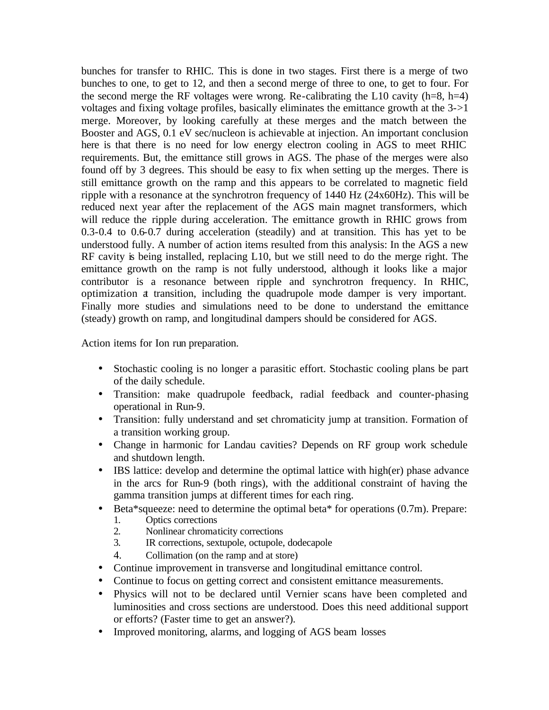bunches for transfer to RHIC. This is done in two stages. First there is a merge of two bunches to one, to get to 12, and then a second merge of three to one, to get to four. For the second merge the RF voltages were wrong. Re-calibrating the L10 cavity  $(h=8, h=4)$ voltages and fixing voltage profiles, basically eliminates the emittance growth at the 3->1 merge. Moreover, by looking carefully at these merges and the match between the Booster and AGS, 0.1 eV sec/nucleon is achievable at injection. An important conclusion here is that there is no need for low energy electron cooling in AGS to meet RHIC requirements. But, the emittance still grows in AGS. The phase of the merges were also found off by 3 degrees. This should be easy to fix when setting up the merges. There is still emittance growth on the ramp and this appears to be correlated to magnetic field ripple with a resonance at the synchrotron frequency of 1440 Hz (24x60Hz). This will be reduced next year after the replacement of the AGS main magnet transformers, which will reduce the ripple during acceleration. The emittance growth in RHIC grows from 0.3-0.4 to 0.6-0.7 during acceleration (steadily) and at transition. This has yet to be understood fully. A number of action items resulted from this analysis: In the AGS a new RF cavity is being installed, replacing L10, but we still need to do the merge right. The emittance growth on the ramp is not fully understood, although it looks like a major contributor is a resonance between ripple and synchrotron frequency. In RHIC, optimization at transition, including the quadrupole mode damper is very important. Finally more studies and simulations need to be done to understand the emittance (steady) growth on ramp, and longitudinal dampers should be considered for AGS.

Action items for Ion run preparation.

- Stochastic cooling is no longer a parasitic effort. Stochastic cooling plans be part of the daily schedule.
- Transition: make quadrupole feedback, radial feedback and counter-phasing operational in Run-9.
- Transition: fully understand and set chromaticity jump at transition. Formation of a transition working group.
- Change in harmonic for Landau cavities? Depends on RF group work schedule and shutdown length.
- IBS lattice: develop and determine the optimal lattice with high(er) phase advance in the arcs for Run-9 (both rings), with the additional constraint of having the gamma transition jumps at different times for each ring.
- Beta\*squeeze: need to determine the optimal beta\* for operations (0.7m). Prepare:
	- 1. Optics corrections
	- 2. Nonlinear chromaticity corrections
	- 3. IR corrections, sextupole, octupole, dodecapole
	- 4. Collimation (on the ramp and at store)
- Continue improvement in transverse and longitudinal emittance control.
- Continue to focus on getting correct and consistent emittance measurements.
- Physics will not to be declared until Vernier scans have been completed and luminosities and cross sections are understood. Does this need additional support or efforts? (Faster time to get an answer?).
- Improved monitoring, alarms, and logging of AGS beam losses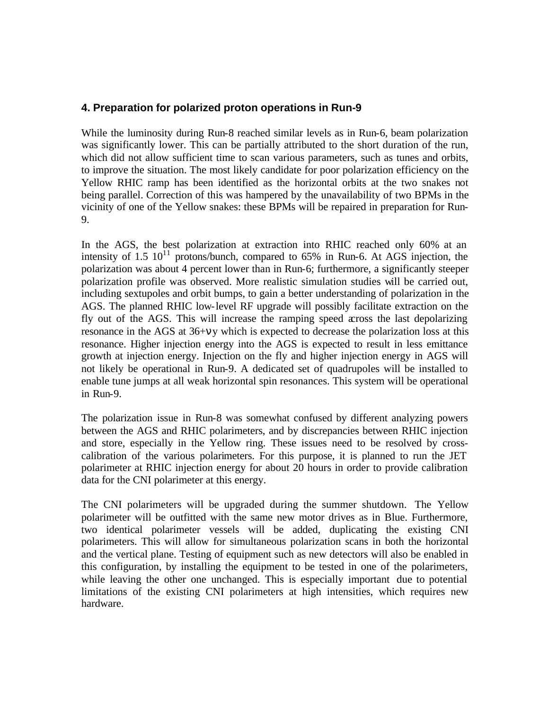#### **4. Preparation for polarized proton operations in Run-9**

While the luminosity during Run-8 reached similar levels as in Run-6, beam polarization was significantly lower. This can be partially attributed to the short duration of the run, which did not allow sufficient time to scan various parameters, such as tunes and orbits, to improve the situation. The most likely candidate for poor polarization efficiency on the Yellow RHIC ramp has been identified as the horizontal orbits at the two snakes not being parallel. Correction of this was hampered by the unavailability of two BPMs in the vicinity of one of the Yellow snakes: these BPMs will be repaired in preparation for Run-9.

In the AGS, the best polarization at extraction into RHIC reached only 60% at an intensity of  $1.5 \times 10^{11}$  protons/bunch, compared to 65% in Run-6. At AGS injection, the polarization was about 4 percent lower than in Run-6; furthermore, a significantly steeper polarization profile was observed. More realistic simulation studies will be carried out, including sextupoles and orbit bumps, to gain a better understanding of polarization in the AGS. The planned RHIC low-level RF upgrade will possibly facilitate extraction on the fly out of the AGS. This will increase the ramping speed across the last depolarizing resonance in the AGS at 36+νy which is expected to decrease the polarization loss at this resonance. Higher injection energy into the AGS is expected to result in less emittance growth at injection energy. Injection on the fly and higher injection energy in AGS will not likely be operational in Run-9. A dedicated set of quadrupoles will be installed to enable tune jumps at all weak horizontal spin resonances. This system will be operational in Run-9.

The polarization issue in Run-8 was somewhat confused by different analyzing powers between the AGS and RHIC polarimeters, and by discrepancies between RHIC injection and store, especially in the Yellow ring. These issues need to be resolved by crosscalibration of the various polarimeters. For this purpose, it is planned to run the JET polarimeter at RHIC injection energy for about 20 hours in order to provide calibration data for the CNI polarimeter at this energy.

The CNI polarimeters will be upgraded during the summer shutdown. The Yellow polarimeter will be outfitted with the same new motor drives as in Blue. Furthermore, two identical polarimeter vessels will be added, duplicating the existing CNI polarimeters. This will allow for simultaneous polarization scans in both the horizontal and the vertical plane. Testing of equipment such as new detectors will also be enabled in this configuration, by installing the equipment to be tested in one of the polarimeters, while leaving the other one unchanged. This is especially important due to potential limitations of the existing CNI polarimeters at high intensities, which requires new hardware.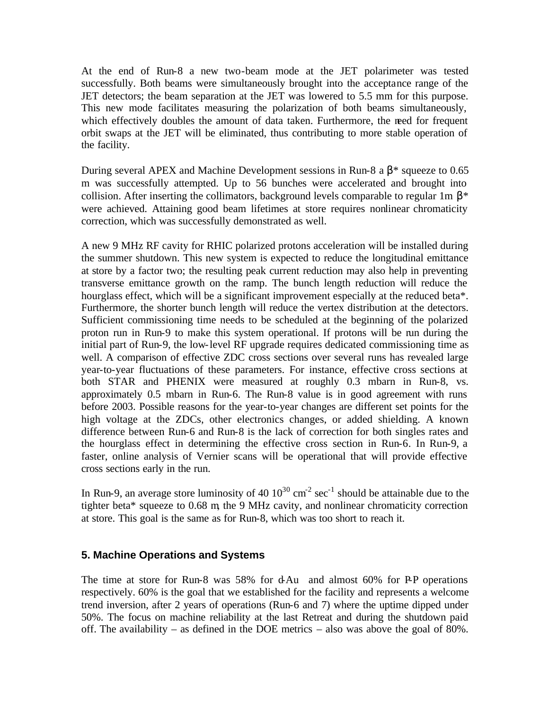At the end of Run-8 a new two-beam mode at the JET polarimeter was tested successfully. Both beams were simultaneously brought into the acceptance range of the JET detectors; the beam separation at the JET was lowered to 5.5 mm for this purpose. This new mode facilitates measuring the polarization of both beams simultaneously, which effectively doubles the amount of data taken. Furthermore, the need for frequent orbit swaps at the JET will be eliminated, thus contributing to more stable operation of the facility.

During several APEX and Machine Development sessions in Run-8 a  $\beta$ \* squeeze to 0.65 m was successfully attempted. Up to 56 bunches were accelerated and brought into collision. After inserting the collimators, background levels comparable to regular 1m  $\beta^*$ were achieved. Attaining good beam lifetimes at store requires nonlinear chromaticity correction, which was successfully demonstrated as well.

A new 9 MHz RF cavity for RHIC polarized protons acceleration will be installed during the summer shutdown. This new system is expected to reduce the longitudinal emittance at store by a factor two; the resulting peak current reduction may also help in preventing transverse emittance growth on the ramp. The bunch length reduction will reduce the hourglass effect, which will be a significant improvement especially at the reduced beta\*. Furthermore, the shorter bunch length will reduce the vertex distribution at the detectors. Sufficient commissioning time needs to be scheduled at the beginning of the polarized proton run in Run-9 to make this system operational. If protons will be run during the initial part of Run-9, the low-level RF upgrade requires dedicated commissioning time as well. A comparison of effective ZDC cross sections over several runs has revealed large year-to-year fluctuations of these parameters. For instance, effective cross sections at both STAR and PHENIX were measured at roughly 0.3 mbarn in Run-8, vs. approximately 0.5 mbarn in Run-6. The Run-8 value is in good agreement with runs before 2003. Possible reasons for the year-to-year changes are different set points for the high voltage at the ZDCs, other electronics changes, or added shielding. A known difference between Run-6 and Run-8 is the lack of correction for both singles rates and the hourglass effect in determining the effective cross section in Run-6. In Run-9, a faster, online analysis of Vernier scans will be operational that will provide effective cross sections early in the run.

In Run-9, an average store luminosity of 40  $10^{30}$  cm<sup>-2</sup> sec<sup>-1</sup> should be attainable due to the tighter beta\* squeeze to 0.68 m, the 9 MHz cavity, and nonlinear chromaticity correction at store. This goal is the same as for Run-8, which was too short to reach it.

#### **5. Machine Operations and Systems**

The time at store for Run-8 was  $58\%$  for d-Au and almost  $60\%$  for P-P operations respectively. 60% is the goal that we established for the facility and represents a welcome trend inversion, after 2 years of operations (Run-6 and 7) where the uptime dipped under 50%. The focus on machine reliability at the last Retreat and during the shutdown paid off. The availability – as defined in the DOE metrics – also was above the goal of 80%.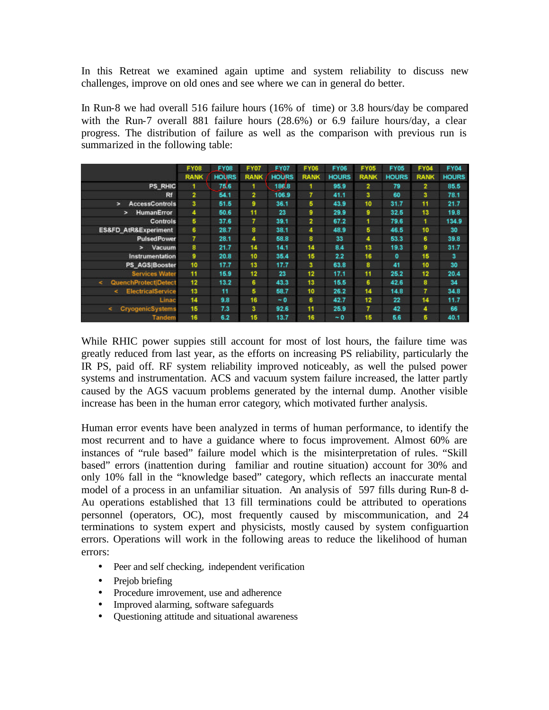In this Retreat we examined again uptime and system reliability to discuss new challenges, improve on old ones and see where we can in general do better.

In Run-8 we had overall 516 failure hours (16% of time) or 3.8 hours/day be compared with the Run-7 overall 881 failure hours (28.6%) or 6.9 failure hours/day, a clear progress. The distribution of failure as well as the comparison with previous run is summarized in the following table:

|                                       | <b>FY08</b>    | <b>FY08</b>  | <b>FY07</b>     | FY07         | <b>FY06</b>    | FY06         | <b>FY05</b> | FY05         | <b>FY04</b> | <b>FY04</b>  |
|---------------------------------------|----------------|--------------|-----------------|--------------|----------------|--------------|-------------|--------------|-------------|--------------|
|                                       | <b>RANK</b>    | <b>HOURS</b> | <b>RANK</b>     | <b>HOURS</b> | <b>RANK</b>    | <b>HOURS</b> | <b>RANK</b> | <b>HOURS</b> | <b>RANK</b> | <b>HOURS</b> |
| PS RHIC                               |                | 75.6         | 1               | 186.8        |                | 95.9         | 2           | 79           | 2           | 85.5         |
| Rf                                    | $\overline{2}$ | 54.1         | $\overline{2}$  | 106.9        | 7              | 41.1         | з           | 60           | 3           | 78.1         |
| <b>AccessControls</b><br>$\geq$       | 3.             | 51.5         | 9               | 36.1         | 6              | 43.9         | 10          | 31.7         | 11          | 21.7         |
| <b>HumanError</b><br>×                | 4              | 50.6         | 11              | 23           | 9              | 29.9         | 9           | 32.5         | 13          | 19.8         |
| Controls                              | 5              | 37.6         | $\overline{7}$  | 39.1         | $\overline{2}$ | 67.2         | 1           | 79.6         | 1           | 134.9        |
| <b>ES&amp;FD AtR&amp;Experiment</b>   | 6              | 28.7         | 8               | 38.1         | 4              | 48.9         | 5           | 46.5         | 10          | 30           |
| PulsedPower                           | 7              | 28.1         | 4               | 58.8         | 8              | 33           | 4           | 53.3         | 6           | 39.8         |
| Vacuum<br>$\geq$                      | 8              | 21.7         | 14              | 14.1         | 14             | 8.4          | 13          | 19.3         | 9           | 31.7         |
| Instrumentation                       | 9              | 20.8         | 10              | 35.4         | 15             | 2.2          | 16          | ٥            | 15          | з            |
| PS AGS Booster                        | 10             | 17.7         | 13 <sub>1</sub> | 17.7         | з              | 63.8         | 8           | 41           | 10          | 30           |
| <b>Services Water</b>                 | 11             | 15.9         | 12 <sub>2</sub> | 23           | 12             | 17.1         | 11          | 25.2         | 12          | 20.4         |
| QuenchProtect Detect<br>$\epsilon$    | 12             | 13.2         | 6               | 43.3         | 13             | 15.5         | 6           | 42.6         | 8           | 34           |
| <b>ElectricalService</b><br>k.        | 13             | 11           | 5               | 58.7         | 10             | 26.2         | 14          | 14.8         | 7           | 34.8         |
| Linac                                 | 14             | 9,8          | 16              | ~0           | 6              | 42.7         | 12          | 22           | 14          | 11.7         |
| <b>CryogenicSystems</b><br>$\epsilon$ | 15             | 7.3          | з               | 92.6         | 11             | 25.9         | 7           | 42           | 4           | 66           |
| <b>Tandem</b>                         | 16             | 6.2          | 15              | 13.7         | 16             | $-0$         | 15          | 5.6          | 5           | 40.1         |

While RHIC power suppies still account for most of lost hours, the failure time was greatly reduced from last year, as the efforts on increasing PS reliability, particularly the IR PS, paid off. RF system reliability improved noticeably, as well the pulsed power systems and instrumentation. ACS and vacuum system failure increased, the latter partly caused by the AGS vacuum problems generated by the internal dump. Another visible increase has been in the human error category, which motivated further analysis.

Human error events have been analyzed in terms of human performance, to identify the most recurrent and to have a guidance where to focus improvement. Almost 60% are instances of "rule based" failure model which is the misinterpretation of rules. "Skill based" errors (inattention during familiar and routine situation) account for 30% and only 10% fall in the "knowledge based" category, which reflects an inaccurate mental model of a process in an unfamiliar situation. An analysis of 597 fills during Run-8 d-Au operations established that 13 fill terminations could be attributed to operations personnel (operators, OC), most frequently caused by miscommunication, and 24 terminations to system expert and physicists, mostly caused by system configuartion errors. Operations will work in the following areas to reduce the likelihood of human errors:

- Peer and self checking, independent verification
- Prejob briefing
- Procedure imrovement, use and adherence
- Improved alarming, software safeguards
- Questioning attitude and situational awareness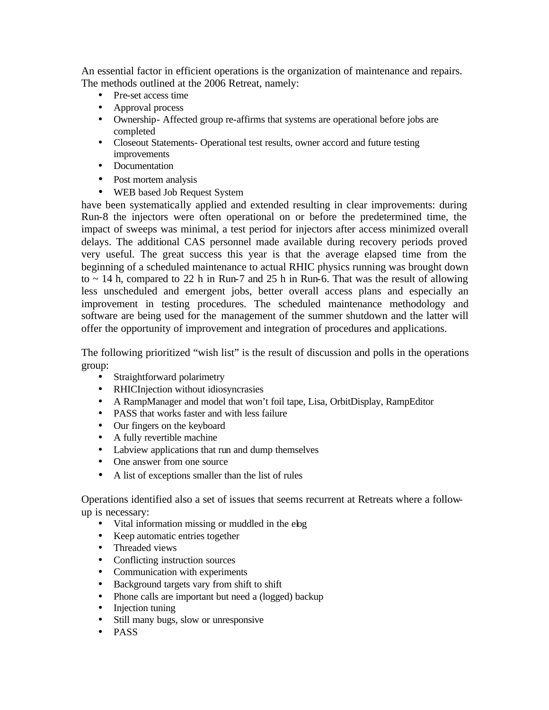An essential factor in efficient operations is the organization of maintenance and repairs. The methods outlined at the 2006 Retreat, namely:

- Pre-set access time
- Approval process
- Ownership- Affected group re-affirms that systems are operational before jobs are completed
- Closeout Statements- Operational test results, owner accord and future testing improvements
- Documentation
- Post mortem analysis
- WEB based Job Request System

have been systematically applied and extended resulting in clear improvements: during Run-8 the injectors were often operational on or before the predetermined time, the impact of sweeps was minimal, a test period for injectors after access minimized overall delays. The additional CAS personnel made available during recovery periods proved very useful. The great success this year is that the average elapsed time from the beginning of a scheduled maintenance to actual RHIC physics running was brought down to  $\sim$  14 h, compared to 22 h in Run-7 and 25 h in Run-6. That was the result of allowing less unscheduled and emergent jobs, better overall access plans and especially an improvement in testing procedures. The scheduled maintenance methodology and software are being used for the management of the summer shutdown and the latter will offer the opportunity of improvement and integration of procedures and applications.

The following prioritized "wish list" is the result of discussion and polls in the operations group:

- Straightforward polarimetry
- RHICInjection without idiosyncrasies
- A RampManager and model that won't foil tape, Lisa, OrbitDisplay, RampEditor
- PASS that works faster and with less failure
- Our fingers on the keyboard
- A fully revertible machine
- Labview applications that run and dump themselves
- One answer from one source
- A list of exceptions smaller than the list of rules

Operations identified also a set of issues that seems recurrent at Retreats where a followup is necessary:

- Vital information missing or muddled in the elog
- Keep automatic entries together
- Threaded views
- Conflicting instruction sources
- Communication with experiments
- Background targets vary from shift to shift
- Phone calls are important but need a (logged) backup
- Injection tuning
- Still many bugs, slow or unresponsive
- PASS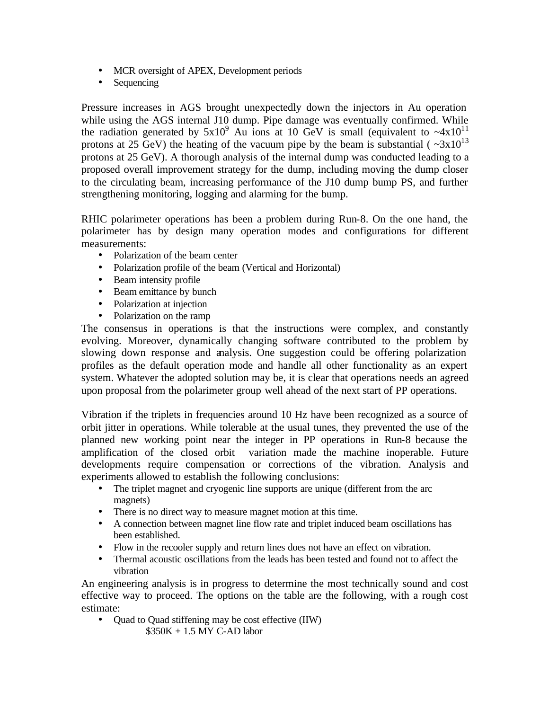- MCR oversight of APEX, Development periods
- Sequencing

Pressure increases in AGS brought unexpectedly down the injectors in Au operation while using the AGS internal J10 dump. Pipe damage was eventually confirmed. While the radiation generated by  $5x10^9$  Au ions at 10 GeV is small (equivalent to  $-4x10^{11}$ protons at 25 GeV) the heating of the vacuum pipe by the beam is substantial ( $\sim 3x10^{13}$ ) protons at 25 GeV). A thorough analysis of the internal dump was conducted leading to a proposed overall improvement strategy for the dump, including moving the dump closer to the circulating beam, increasing performance of the J10 dump bump PS, and further strengthening monitoring, logging and alarming for the bump.

RHIC polarimeter operations has been a problem during Run-8. On the one hand, the polarimeter has by design many operation modes and configurations for different measurements:

- Polarization of the beam center
- Polarization profile of the beam (Vertical and Horizontal)
- Beam intensity profile
- Beam emittance by bunch
- Polarization at injection
- Polarization on the ramp

The consensus in operations is that the instructions were complex, and constantly evolving. Moreover, dynamically changing software contributed to the problem by slowing down response and analysis. One suggestion could be offering polarization profiles as the default operation mode and handle all other functionality as an expert system. Whatever the adopted solution may be, it is clear that operations needs an agreed upon proposal from the polarimeter group well ahead of the next start of PP operations.

Vibration if the triplets in frequencies around 10 Hz have been recognized as a source of orbit jitter in operations. While tolerable at the usual tunes, they prevented the use of the planned new working point near the integer in PP operations in Run-8 because the amplification of the closed orbit variation made the machine inoperable. Future developments require compensation or corrections of the vibration. Analysis and experiments allowed to establish the following conclusions:

- The triplet magnet and cryogenic line supports are unique (different from the arc magnets)
- There is no direct way to measure magnet motion at this time.
- A connection between magnet line flow rate and triplet induced beam oscillations has been established.
- Flow in the recooler supply and return lines does not have an effect on vibration.
- Thermal acoustic oscillations from the leads has been tested and found not to affect the vibration

An engineering analysis is in progress to determine the most technically sound and cost effective way to proceed. The options on the table are the following, with a rough cost estimate:

• Quad to Quad stiffening may be cost effective (IIW) \$350K + 1.5 MY C-AD labor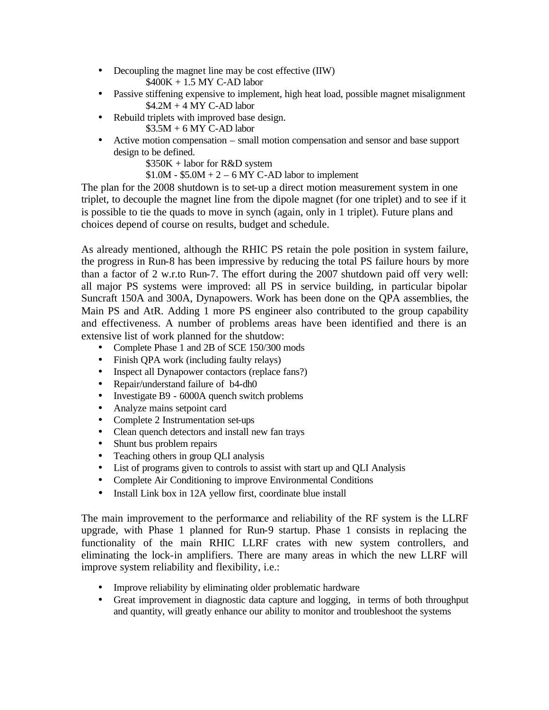- Decoupling the magnet line may be cost effective (IIW) \$400K + 1.5 MY C-AD labor
- Passive stiffening expensive to implement, high heat load, possible magnet misalignment  $$4.2M + 4 MY$  C-AD labor
- Rebuild triplets with improved base design.  $$3.5M + 6 MY$  C-AD labor
- Active motion compensation small motion compensation and sensor and base support design to be defined.

\$350K + labor for R&D system

 $$1.0M - $5.0M + 2 - 6 MY C-AD$  labor to implement

The plan for the 2008 shutdown is to set-up a direct motion measurement system in one triplet, to decouple the magnet line from the dipole magnet (for one triplet) and to see if it is possible to tie the quads to move in synch (again, only in 1 triplet). Future plans and choices depend of course on results, budget and schedule.

As already mentioned, although the RHIC PS retain the pole position in system failure, the progress in Run-8 has been impressive by reducing the total PS failure hours by more than a factor of 2 w.r.to Run-7. The effort during the 2007 shutdown paid off very well: all major PS systems were improved: all PS in service building, in particular bipolar Suncraft 150A and 300A, Dynapowers. Work has been done on the QPA assemblies, the Main PS and AtR. Adding 1 more PS engineer also contributed to the group capability and effectiveness. A number of problems areas have been identified and there is an extensive list of work planned for the shutdow:

- Complete Phase 1 and 2B of SCE 150/300 mods
- Finish QPA work (including faulty relays)
- Inspect all Dynapower contactors (replace fans?)
- Repair/understand failure of b4-dh0
- Investigate B9 6000A quench switch problems
- Analyze mains setpoint card
- Complete 2 Instrumentation set-ups
- Clean quench detectors and install new fan trays
- Shunt bus problem repairs
- Teaching others in group QLI analysis
- List of programs given to controls to assist with start up and QLI Analysis
- Complete Air Conditioning to improve Environmental Conditions
- Install Link box in 12A yellow first, coordinate blue install

The main improvement to the performance and reliability of the RF system is the LLRF upgrade, with Phase 1 planned for Run-9 startup. Phase 1 consists in replacing the functionality of the main RHIC LLRF crates with new system controllers, and eliminating the lock-in amplifiers. There are many areas in which the new LLRF will improve system reliability and flexibility, i.e.:

- Improve reliability by eliminating older problematic hardware
- Great improvement in diagnostic data capture and logging, in terms of both throughput and quantity, will greatly enhance our ability to monitor and troubleshoot the systems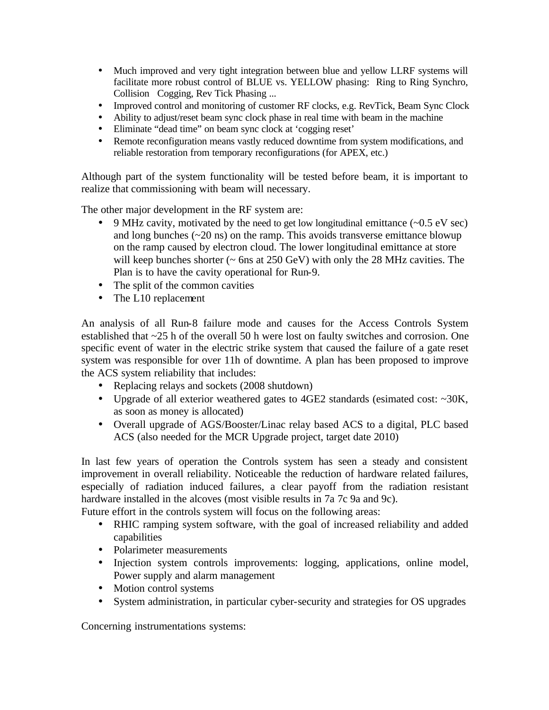- Much improved and very tight integration between blue and yellow LLRF systems will facilitate more robust control of BLUE vs. YELLOW phasing: Ring to Ring Synchro, Collision Cogging, Rev Tick Phasing ...
- Improved control and monitoring of customer RF clocks, e.g. RevTick, Beam Sync Clock
- Ability to adjust/reset beam sync clock phase in real time with beam in the machine
- Eliminate "dead time" on beam sync clock at 'cogging reset'
- Remote reconfiguration means vastly reduced downtime from system modifications, and reliable restoration from temporary reconfigurations (for APEX, etc.)

Although part of the system functionality will be tested before beam, it is important to realize that commissioning with beam will necessary.

The other major development in the RF system are:

- 9 MHz cavity, motivated by the need to get low longitudinal emittance  $(-0.5 \text{ eV} \text{ sec})$ and long bunches  $(\sim 20 \text{ ns})$  on the ramp. This avoids transverse emittance blowup on the ramp caused by electron cloud. The lower longitudinal emittance at store will keep bunches shorter ( $\sim$  6ns at 250 GeV) with only the 28 MHz cavities. The Plan is to have the cavity operational for Run-9.
- The split of the common cavities
- The L10 replacement

An analysis of all Run-8 failure mode and causes for the Access Controls System established that ~25 h of the overall 50 h were lost on faulty switches and corrosion. One specific event of water in the electric strike system that caused the failure of a gate reset system was responsible for over 11h of downtime. A plan has been proposed to improve the ACS system reliability that includes:

- Replacing relays and sockets (2008 shutdown)
- Upgrade of all exterior weathered gates to 4GE2 standards (esimated cost: ~30K, as soon as money is allocated)
- Overall upgrade of AGS/Booster/Linac relay based ACS to a digital, PLC based ACS (also needed for the MCR Upgrade project, target date 2010)

In last few years of operation the Controls system has seen a steady and consistent improvement in overall reliability. Noticeable the reduction of hardware related failures, especially of radiation induced failures, a clear payoff from the radiation resistant hardware installed in the alcoves (most visible results in 7a 7c 9a and 9c).

Future effort in the controls system will focus on the following areas:

- RHIC ramping system software, with the goal of increased reliability and added capabilities
- Polarimeter measurements
- Injection system controls improvements: logging, applications, online model, Power supply and alarm management
- Motion control systems
- System administration, in particular cyber-security and strategies for OS upgrades

Concerning instrumentations systems: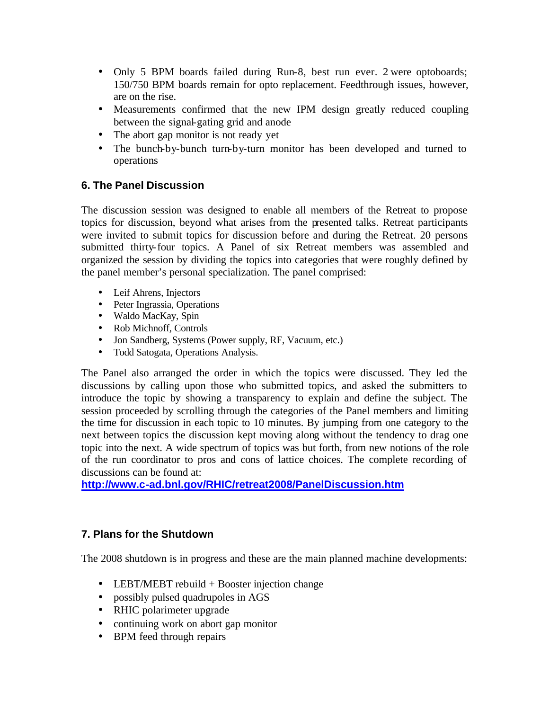- Only 5 BPM boards failed during Run-8, best run ever. 2 were optoboards; 150/750 BPM boards remain for opto replacement. Feedthrough issues, however, are on the rise.
- Measurements confirmed that the new IPM design greatly reduced coupling between the signal-gating grid and anode
- The abort gap monitor is not ready yet
- The bunch-by-bunch turn-by-turn monitor has been developed and turned to operations

### **6. The Panel Discussion**

The discussion session was designed to enable all members of the Retreat to propose topics for discussion, beyond what arises from the presented talks. Retreat participants were invited to submit topics for discussion before and during the Retreat. 20 persons submitted thirty-four topics. A Panel of six Retreat members was assembled and organized the session by dividing the topics into categories that were roughly defined by the panel member's personal specialization. The panel comprised:

- Leif Ahrens, Injectors
- Peter Ingrassia, Operations
- Waldo MacKay, Spin
- Rob Michnoff, Controls
- Jon Sandberg, Systems (Power supply, RF, Vacuum, etc.)
- Todd Satogata, Operations Analysis.

The Panel also arranged the order in which the topics were discussed. They led the discussions by calling upon those who submitted topics, and asked the submitters to introduce the topic by showing a transparency to explain and define the subject. The session proceeded by scrolling through the categories of the Panel members and limiting the time for discussion in each topic to 10 minutes. By jumping from one category to the next between topics the discussion kept moving along without the tendency to drag one topic into the next. A wide spectrum of topics was but forth, from new notions of the role of the run coordinator to pros and cons of lattice choices. The complete recording of discussions can be found at:

**http://www.c-ad.bnl.gov/RHIC/retreat2008/PanelDiscussion.htm**

### **7. Plans for the Shutdown**

The 2008 shutdown is in progress and these are the main planned machine developments:

- LEBT/MEBT rebuild + Booster injection change
- possibly pulsed quadrupoles in AGS
- RHIC polarimeter upgrade
- continuing work on abort gap monitor
- BPM feed through repairs